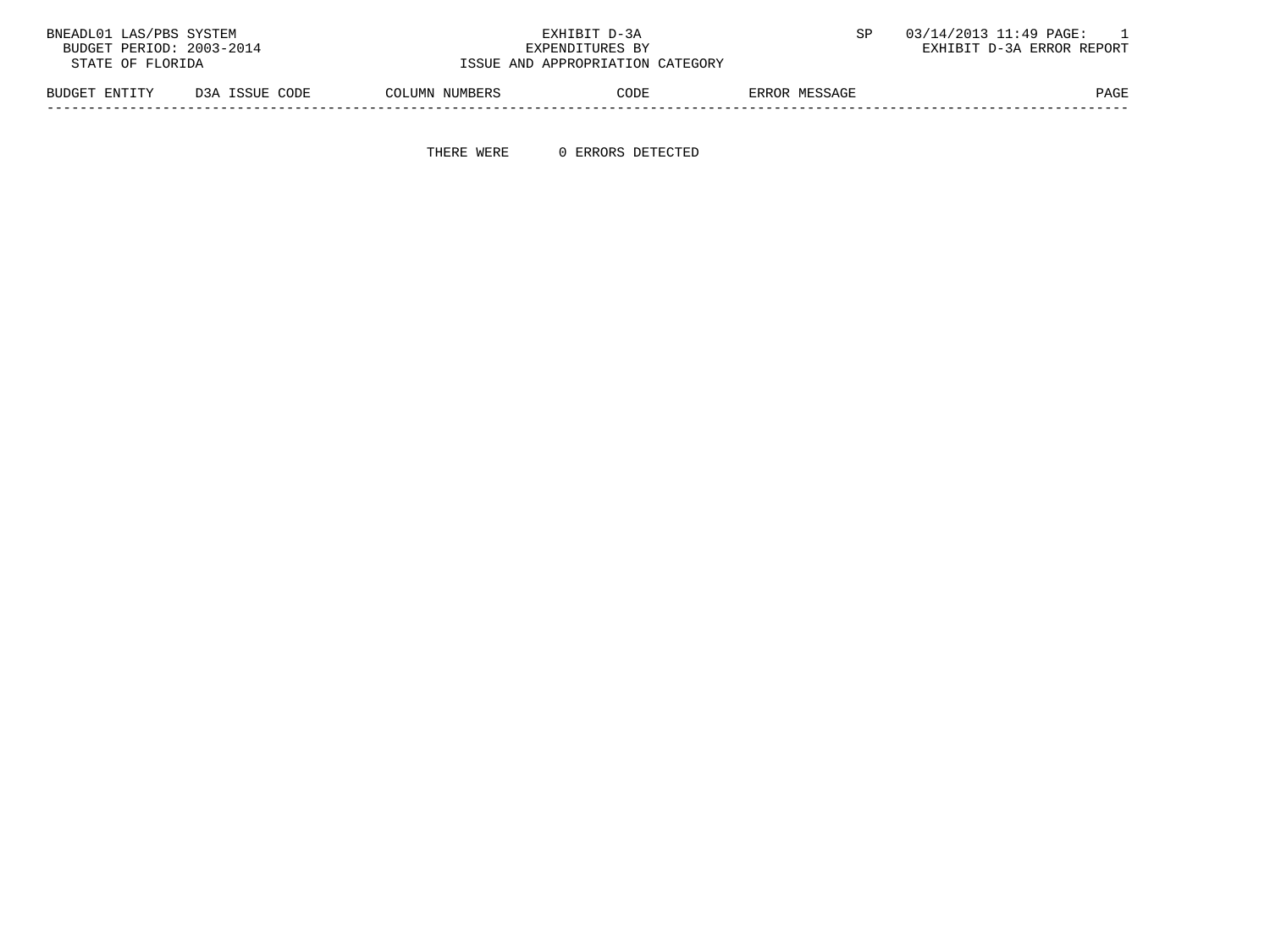| BNEADL01 LAS/PBS SYSTEM                     |                |                | EXHIBIT D-3A                     |               | 03/14/2013 11:49 PAGE:    |
|---------------------------------------------|----------------|----------------|----------------------------------|---------------|---------------------------|
| BUDGET PERIOD: 2003-2014<br>EXPENDITURES BY |                |                |                                  |               | EXHIBIT D-3A ERROR REPORT |
| STATE OF FLORIDA                            |                |                | ISSUE AND APPROPRIATION CATEGORY |               |                           |
| BUDGET ENTITY                               | D3A ISSUE CODE | COLUMN NUMBERS | CODE                             | ERROR MESSAGE | PAGE                      |

THERE WERE 0 ERRORS DETECTED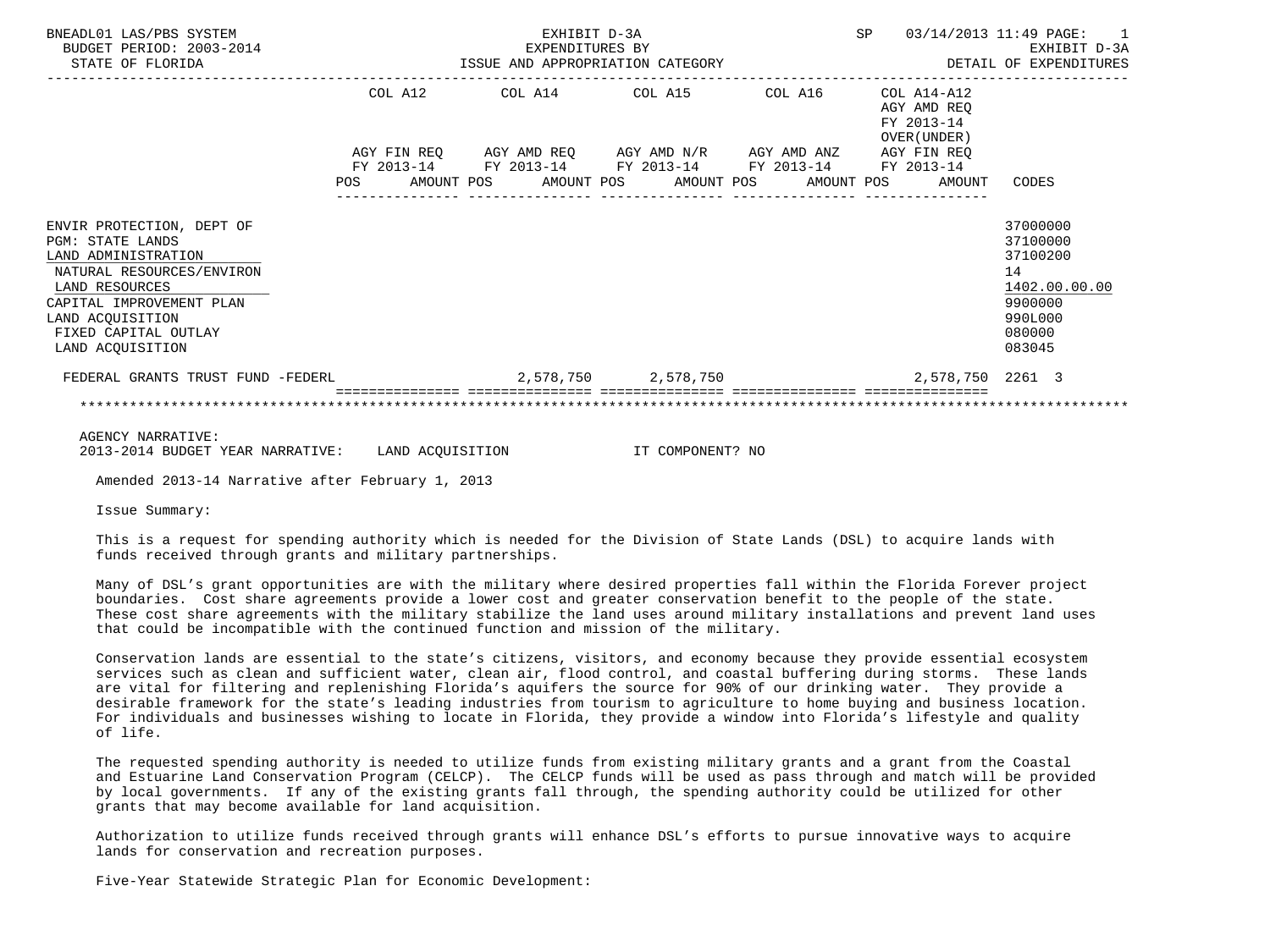| BNEADL01 LAS/PBS SYSTEM<br>BUDGET PERIOD: 2003-2014<br>STATE OF FLORIDA                                                                                                                                                | EXHIBIT D-3A<br>EXPENDITURES BY<br>EXPENDITURES BY<br>ISSUE AND APPROPRIATION CATEGORY MANAGEMENT DETA |         |  |  |  |                                                                                                                       |  |  | SP 03/14/2013 11:49 PAGE: 1<br>EXHIBIT D-3A<br>DETAIL OF EXPENDITURES |                                                                                                   |
|------------------------------------------------------------------------------------------------------------------------------------------------------------------------------------------------------------------------|--------------------------------------------------------------------------------------------------------|---------|--|--|--|-----------------------------------------------------------------------------------------------------------------------|--|--|-----------------------------------------------------------------------|---------------------------------------------------------------------------------------------------|
|                                                                                                                                                                                                                        |                                                                                                        | COL A12 |  |  |  | $COL A14$ $COL A15$ $COL A16$ $COL A14-A12$                                                                           |  |  | AGY AMD REO<br>FY 2013-14<br>OVER (UNDER )                            |                                                                                                   |
|                                                                                                                                                                                                                        |                                                                                                        |         |  |  |  | AGY FIN REQ AGY AMD REQ AGY AMD N/R AGY AMD ANZ AGY FIN REQ<br>FY 2013-14 FY 2013-14 FY 2013-14 FY 2013-14 FY 2013-14 |  |  | POS AMOUNT POS AMOUNT POS AMOUNT POS AMOUNT POS AMOUNT CODES          |                                                                                                   |
| ENVIR PROTECTION, DEPT OF<br><b>PGM: STATE LANDS</b><br>LAND ADMINISTRATION<br>NATURAL RESOURCES/ENVIRON<br>LAND RESOURCES<br>CAPITAL IMPROVEMENT PLAN<br>LAND ACOUISITION<br>FIXED CAPITAL OUTLAY<br>LAND ACOUISITION |                                                                                                        |         |  |  |  |                                                                                                                       |  |  |                                                                       | 37000000<br>37100000<br>37100200<br>14<br>1402.00.00.00<br>9900000<br>990L000<br>080000<br>083045 |
| FEDERAL GRANTS TRUST FUND -FEDERL $2,578,750$ $2,578,750$                                                                                                                                                              |                                                                                                        |         |  |  |  |                                                                                                                       |  |  | 2,578,750 2261 3                                                      |                                                                                                   |
|                                                                                                                                                                                                                        |                                                                                                        |         |  |  |  |                                                                                                                       |  |  |                                                                       |                                                                                                   |

 AGENCY NARRATIVE: 2013-2014 BUDGET YEAR NARRATIVE: LAND ACQUISITION IT COMPONENT? NO

Amended 2013-14 Narrative after February 1, 2013

Issue Summary:

 This is a request for spending authority which is needed for the Division of State Lands (DSL) to acquire lands with funds received through grants and military partnerships.

 Many of DSL's grant opportunities are with the military where desired properties fall within the Florida Forever project boundaries. Cost share agreements provide a lower cost and greater conservation benefit to the people of the state. These cost share agreements with the military stabilize the land uses around military installations and prevent land uses that could be incompatible with the continued function and mission of the military.

 Conservation lands are essential to the state's citizens, visitors, and economy because they provide essential ecosystem services such as clean and sufficient water, clean air, flood control, and coastal buffering during storms. These lands are vital for filtering and replenishing Florida's aquifers the source for 90% of our drinking water. They provide a desirable framework for the state's leading industries from tourism to agriculture to home buying and business location. For individuals and businesses wishing to locate in Florida, they provide a window into Florida's lifestyle and quality of life.

 The requested spending authority is needed to utilize funds from existing military grants and a grant from the Coastal and Estuarine Land Conservation Program (CELCP). The CELCP funds will be used as pass through and match will be provided by local governments. If any of the existing grants fall through, the spending authority could be utilized for other grants that may become available for land acquisition.

 Authorization to utilize funds received through grants will enhance DSL's efforts to pursue innovative ways to acquire lands for conservation and recreation purposes.

Five-Year Statewide Strategic Plan for Economic Development: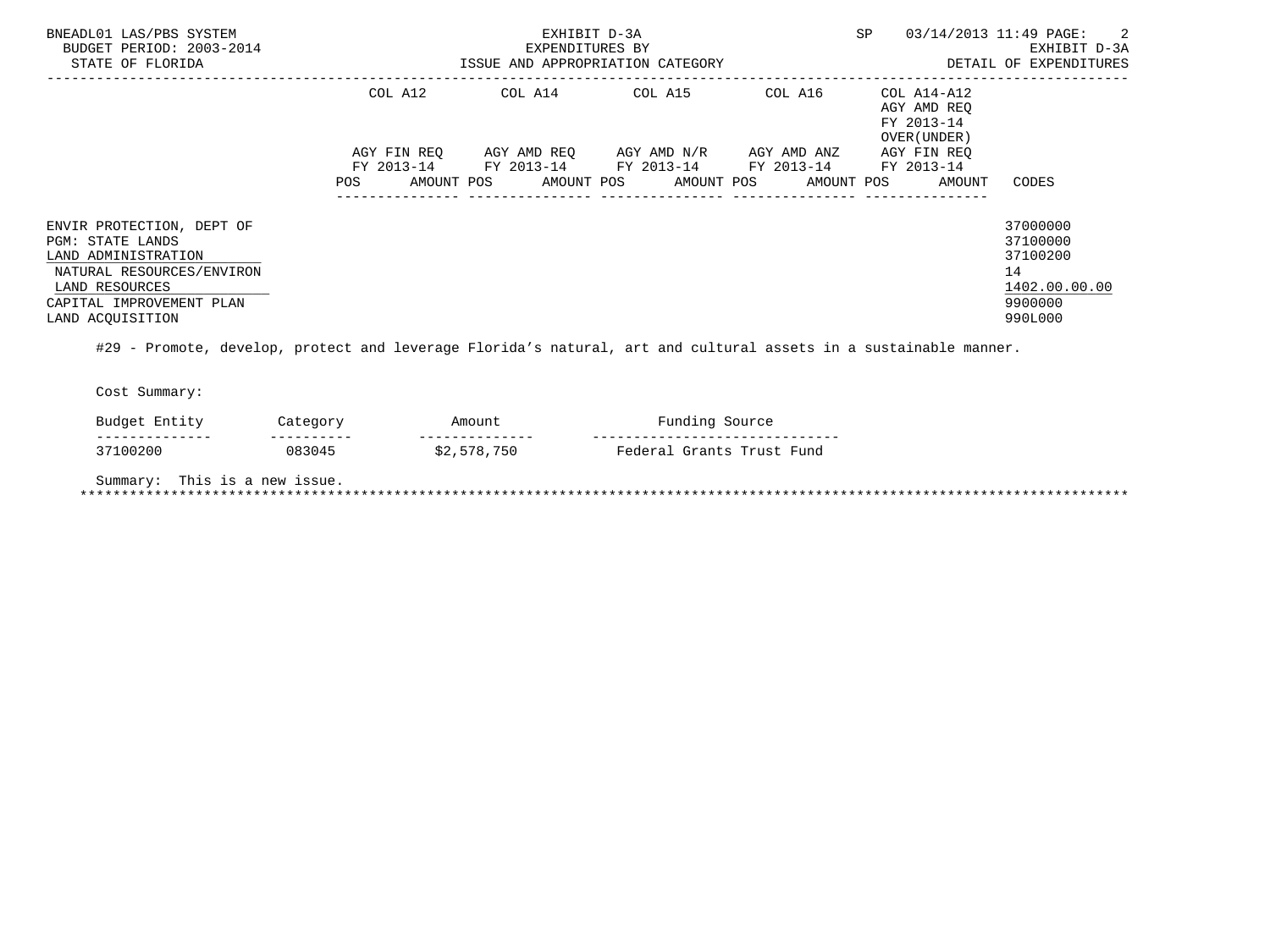| BNEADL01 LAS/PBS SYSTEM<br>BUDGET PERIOD: 2003-2014<br>STATE OF FLORIDA                                                                                                    |                    | EXHIBIT D-3A<br>EXPENDITURES BY<br>ISSUE AND APPROPRIATION CATEGORY |                                                                                                                                           | SP               | 03/14/2013 11:49 PAGE: 2<br>EXHIBIT D-3A<br>DETAIL OF EXPENDITURES |                                                                               |
|----------------------------------------------------------------------------------------------------------------------------------------------------------------------------|--------------------|---------------------------------------------------------------------|-------------------------------------------------------------------------------------------------------------------------------------------|------------------|--------------------------------------------------------------------|-------------------------------------------------------------------------------|
|                                                                                                                                                                            | COL A12            | COL A14                                                             | COL A15                                                                                                                                   | COL A16          | COL A14-A12<br>AGY AMD REO<br>FY 2013-14<br>OVER (UNDER)           |                                                                               |
|                                                                                                                                                                            | AGY FIN REO<br>POS |                                                                     | AGY AMD REO     AGY AMD N/R     AGY AMD ANZ<br>FY 2013-14 FY 2013-14 FY 2013-14 FY 2013-14 FY 2013-14<br>AMOUNT POS AMOUNT POS AMOUNT POS |                  | AGY FIN REO<br>AMOUNT POS<br>AMOUNT                                | CODES                                                                         |
|                                                                                                                                                                            |                    |                                                                     |                                                                                                                                           | ---------------- |                                                                    |                                                                               |
| ENVIR PROTECTION, DEPT OF<br><b>PGM: STATE LANDS</b><br>LAND ADMINISTRATION<br>NATURAL RESOURCES/ENVIRON<br>LAND RESOURCES<br>CAPITAL IMPROVEMENT PLAN<br>LAND ACOUISITION |                    |                                                                     |                                                                                                                                           |                  |                                                                    | 37000000<br>37100000<br>37100200<br>14<br>1402.00.00.00<br>9900000<br>990L000 |

#29 - Promote, develop, protect and leverage Florida's natural, art and cultural assets in a sustainable manner.

Cost Summary:

| $\overline{\phantom{a}}$<br>™~ +<br>$\sim$ $\sim$ 1<br>≖น<br>ے لیے توسی | $\sim$     | AMO <sup>11</sup><br>ື້ | $\cdots$ $\sim$<br>ט ש⊥ ש              |
|-------------------------------------------------------------------------|------------|-------------------------|----------------------------------------|
| --------------                                                          | ---------- | --------------          | ___<br>------<br>--------------------- |
|                                                                         |            | $A \cap$<br>750<br>ັ້   | 'und<br>™~~~<br>$T\sim n+1$            |

Summary: This is a new issue.

\*\*\*\*\*\*\*\*\*\*\*\*\*\*\*\*\*\*\*\*\*\*\*\*\*\*\*\*\*\*\*\*\*\*\*\*\*\*\*\*\*\*\*\*\*\*\*\*\*\*\*\*\*\*\*\*\*\*\*\*\*\*\*\*\*\*\*\*\*\*\*\*\*\*\*\*\*\*\*\*\*\*\*\*\*\*\*\*\*\*\*\*\*\*\*\*\*\*\*\*\*\*\*\*\*\*\*\*\*\*\*\*\*\*\*\*\*\*\*\*\*\*\*\*\*\*\*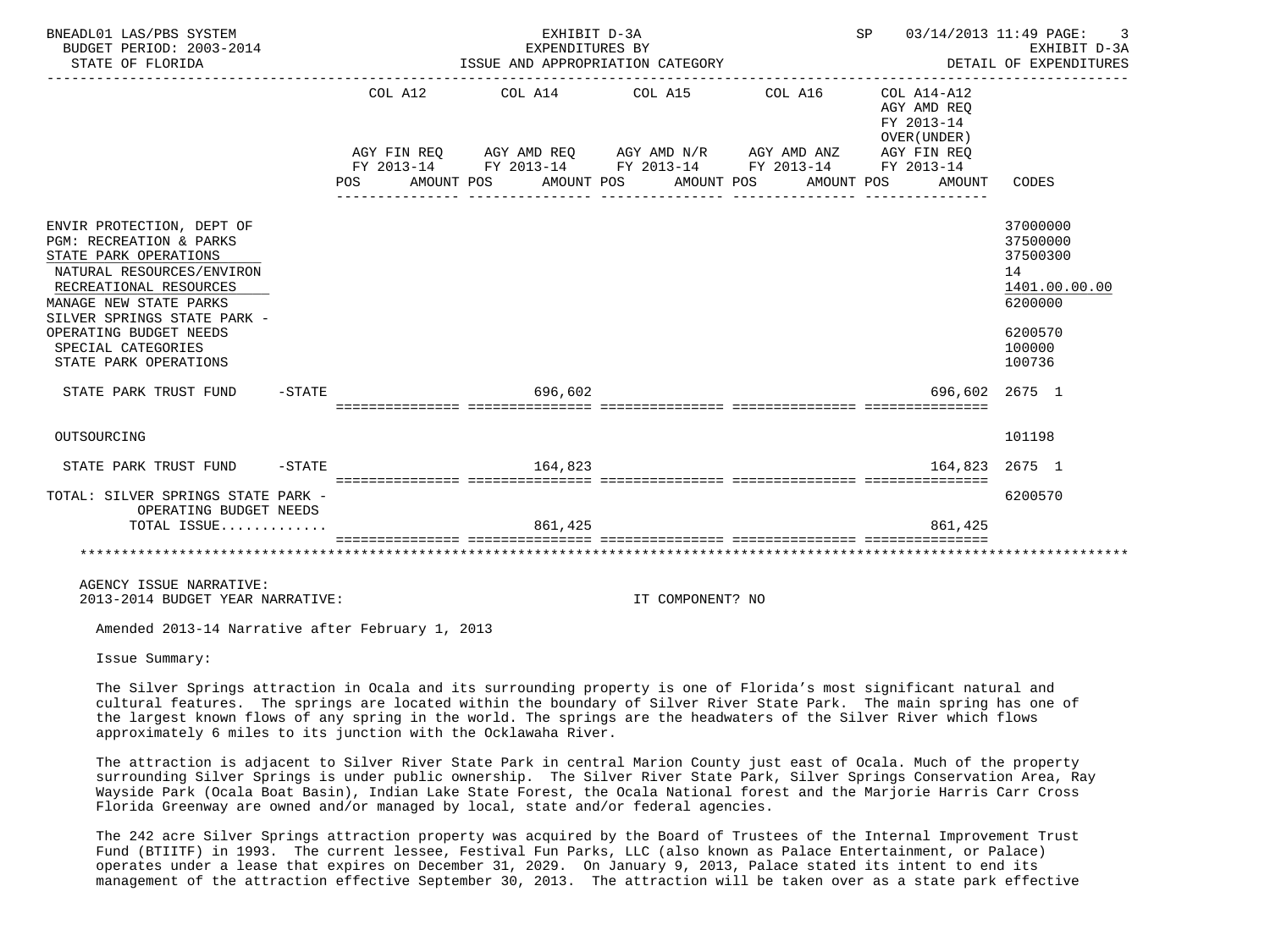| BNEADL01 LAS/PBS SYSTEM<br>BUDGET PERIOD: 2003-2014<br>STATE OF FLORIDA                                                                                                                                                                                                           |                   | EXHIBIT D-3A<br>SP 03/14/2013 11:49 PAGE:<br>EXPENDITURES BY<br>DETAIL OF EXPENDITURES<br>ISSUE AND APPROPRIATION CATEGORY |  |  |                                                                                                                                                                                                                             |  |                  |  |  |  | 3<br>EXHIBIT D-3A                                              |                                                                                                   |
|-----------------------------------------------------------------------------------------------------------------------------------------------------------------------------------------------------------------------------------------------------------------------------------|-------------------|----------------------------------------------------------------------------------------------------------------------------|--|--|-----------------------------------------------------------------------------------------------------------------------------------------------------------------------------------------------------------------------------|--|------------------|--|--|--|----------------------------------------------------------------|---------------------------------------------------------------------------------------------------|
|                                                                                                                                                                                                                                                                                   |                   | POS                                                                                                                        |  |  | COL A12 COL A14 COL A15 COL A16 COL A14-A12<br>AGY FIN REQ AGY AMD REQ AGY AMD N/R AGY AMD ANZ AGY FIN REQ<br>FY 2013-14 FY 2013-14 FY 2013-14 FY 2013-14 FY 2013-14<br>AMOUNT POS AMOUNT POS AMOUNT POS<br>_______________ |  | _______________  |  |  |  | AGY AMD REQ<br>FY 2013-14<br>OVER (UNDER)<br>AMOUNT POS AMOUNT | CODES                                                                                             |
| ENVIR PROTECTION, DEPT OF<br><b>PGM: RECREATION &amp; PARKS</b><br>STATE PARK OPERATIONS<br>NATURAL RESOURCES/ENVIRON<br>RECREATIONAL RESOURCES<br>MANAGE NEW STATE PARKS<br>SILVER SPRINGS STATE PARK -<br>OPERATING BUDGET NEEDS<br>SPECIAL CATEGORIES<br>STATE PARK OPERATIONS |                   |                                                                                                                            |  |  |                                                                                                                                                                                                                             |  |                  |  |  |  |                                                                | 37000000<br>37500000<br>37500300<br>14<br>1401.00.00.00<br>6200000<br>6200570<br>100000<br>100736 |
| STATE PARK TRUST FUND                                                                                                                                                                                                                                                             | $-\mathtt{STATE}$ |                                                                                                                            |  |  | 696,602                                                                                                                                                                                                                     |  |                  |  |  |  | 696,602 2675 1                                                 |                                                                                                   |
| OUTSOURCING                                                                                                                                                                                                                                                                       |                   |                                                                                                                            |  |  |                                                                                                                                                                                                                             |  |                  |  |  |  |                                                                | 101198                                                                                            |
| STATE PARK TRUST FUND - STATE                                                                                                                                                                                                                                                     |                   |                                                                                                                            |  |  | 164,823                                                                                                                                                                                                                     |  |                  |  |  |  | 164.823 2675 1                                                 |                                                                                                   |
| TOTAL: SILVER SPRINGS STATE PARK -<br>OPERATING BUDGET NEEDS<br>TOTAL ISSUE                                                                                                                                                                                                       |                   |                                                                                                                            |  |  | 861,425                                                                                                                                                                                                                     |  |                  |  |  |  | 861,425                                                        | 6200570                                                                                           |
|                                                                                                                                                                                                                                                                                   |                   |                                                                                                                            |  |  |                                                                                                                                                                                                                             |  |                  |  |  |  |                                                                | ******************************                                                                    |
| AGENCY ISSUE NARRATIVE:<br>2013-2014 BUDGET YEAR NARRATIVE:                                                                                                                                                                                                                       |                   |                                                                                                                            |  |  |                                                                                                                                                                                                                             |  | IT COMPONENT? NO |  |  |  |                                                                |                                                                                                   |
| Amended 2013-14 Narrative after February 1, 2013                                                                                                                                                                                                                                  |                   |                                                                                                                            |  |  |                                                                                                                                                                                                                             |  |                  |  |  |  |                                                                |                                                                                                   |

Issue Summary:

 The Silver Springs attraction in Ocala and its surrounding property is one of Florida's most significant natural and cultural features. The springs are located within the boundary of Silver River State Park. The main spring has one of the largest known flows of any spring in the world. The springs are the headwaters of the Silver River which flows approximately 6 miles to its junction with the Ocklawaha River.

 The attraction is adjacent to Silver River State Park in central Marion County just east of Ocala. Much of the property surrounding Silver Springs is under public ownership. The Silver River State Park, Silver Springs Conservation Area, Ray Wayside Park (Ocala Boat Basin), Indian Lake State Forest, the Ocala National forest and the Marjorie Harris Carr Cross Florida Greenway are owned and/or managed by local, state and/or federal agencies.

 The 242 acre Silver Springs attraction property was acquired by the Board of Trustees of the Internal Improvement Trust Fund (BTIITF) in 1993. The current lessee, Festival Fun Parks, LLC (also known as Palace Entertainment, or Palace) operates under a lease that expires on December 31, 2029. On January 9, 2013, Palace stated its intent to end its management of the attraction effective September 30, 2013. The attraction will be taken over as a state park effective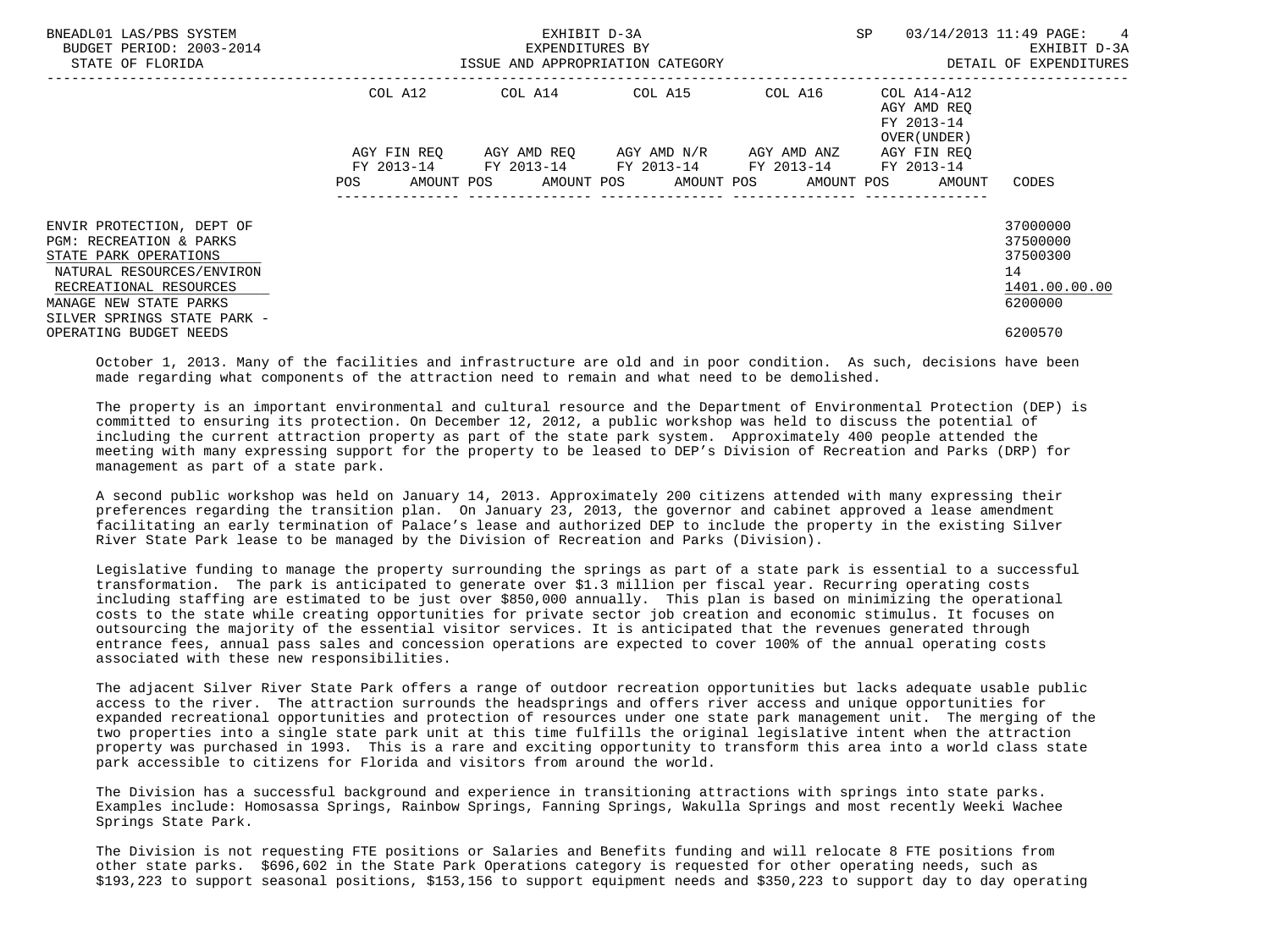| BNEADL01 LAS/PBS SYSTEM<br>BUDGET PERIOD: 2003-2014<br>STATE OF FLORIDA                                                                                                                                  | ISSUE AND APPROPRIATION CATEGORY | EXHIBIT D-3A<br>EXPENDITURES BY                                                                              | SP | 03/14/2013 11:49 PAGE: 4<br>EXHIBIT D-3A<br>DETAIL OF EXPENDITURES |                                                                    |
|----------------------------------------------------------------------------------------------------------------------------------------------------------------------------------------------------------|----------------------------------|--------------------------------------------------------------------------------------------------------------|----|--------------------------------------------------------------------|--------------------------------------------------------------------|
|                                                                                                                                                                                                          |                                  | COL A12 COL A14 COL A15 COL A16                                                                              |    | COL A14-A12<br>AGY AMD REO<br>FY 2013-14<br>OVER (UNDER)           |                                                                    |
|                                                                                                                                                                                                          | POS                              | FY 2013-14 FY 2013-14 FY 2013-14 FY 2013-14 FY 2013-14<br>AMOUNT POS AMOUNT POS AMOUNT POS AMOUNT POS AMOUNT |    | AGY FIN REO                                                        | CODES                                                              |
| ENVIR PROTECTION, DEPT OF<br><b>PGM: RECREATION &amp; PARKS</b><br>STATE PARK OPERATIONS<br>NATURAL RESOURCES/ENVIRON<br>RECREATIONAL RESOURCES<br>MANAGE NEW STATE PARKS<br>SILVER SPRINGS STATE PARK - |                                  |                                                                                                              |    |                                                                    | 37000000<br>37500000<br>37500300<br>14<br>1401.00.00.00<br>6200000 |
| OPERATING BUDGET NEEDS                                                                                                                                                                                   |                                  |                                                                                                              |    |                                                                    | 6200570                                                            |

 October 1, 2013. Many of the facilities and infrastructure are old and in poor condition. As such, decisions have been made regarding what components of the attraction need to remain and what need to be demolished.

 The property is an important environmental and cultural resource and the Department of Environmental Protection (DEP) is committed to ensuring its protection. On December 12, 2012, a public workshop was held to discuss the potential of including the current attraction property as part of the state park system. Approximately 400 people attended the meeting with many expressing support for the property to be leased to DEP's Division of Recreation and Parks (DRP) for management as part of a state park.

 A second public workshop was held on January 14, 2013. Approximately 200 citizens attended with many expressing their preferences regarding the transition plan. On January 23, 2013, the governor and cabinet approved a lease amendment facilitating an early termination of Palace's lease and authorized DEP to include the property in the existing Silver River State Park lease to be managed by the Division of Recreation and Parks (Division).

 Legislative funding to manage the property surrounding the springs as part of a state park is essential to a successful transformation. The park is anticipated to generate over \$1.3 million per fiscal year. Recurring operating costs including staffing are estimated to be just over \$850,000 annually. This plan is based on minimizing the operational costs to the state while creating opportunities for private sector job creation and economic stimulus. It focuses on outsourcing the majority of the essential visitor services. It is anticipated that the revenues generated through entrance fees, annual pass sales and concession operations are expected to cover 100% of the annual operating costs associated with these new responsibilities.

 The adjacent Silver River State Park offers a range of outdoor recreation opportunities but lacks adequate usable public access to the river. The attraction surrounds the headsprings and offers river access and unique opportunities for expanded recreational opportunities and protection of resources under one state park management unit. The merging of the two properties into a single state park unit at this time fulfills the original legislative intent when the attraction property was purchased in 1993. This is a rare and exciting opportunity to transform this area into a world class state park accessible to citizens for Florida and visitors from around the world.

 The Division has a successful background and experience in transitioning attractions with springs into state parks. Examples include: Homosassa Springs, Rainbow Springs, Fanning Springs, Wakulla Springs and most recently Weeki Wachee Springs State Park.

 The Division is not requesting FTE positions or Salaries and Benefits funding and will relocate 8 FTE positions from other state parks. \$696,602 in the State Park Operations category is requested for other operating needs, such as \$193,223 to support seasonal positions, \$153,156 to support equipment needs and \$350,223 to support day to day operating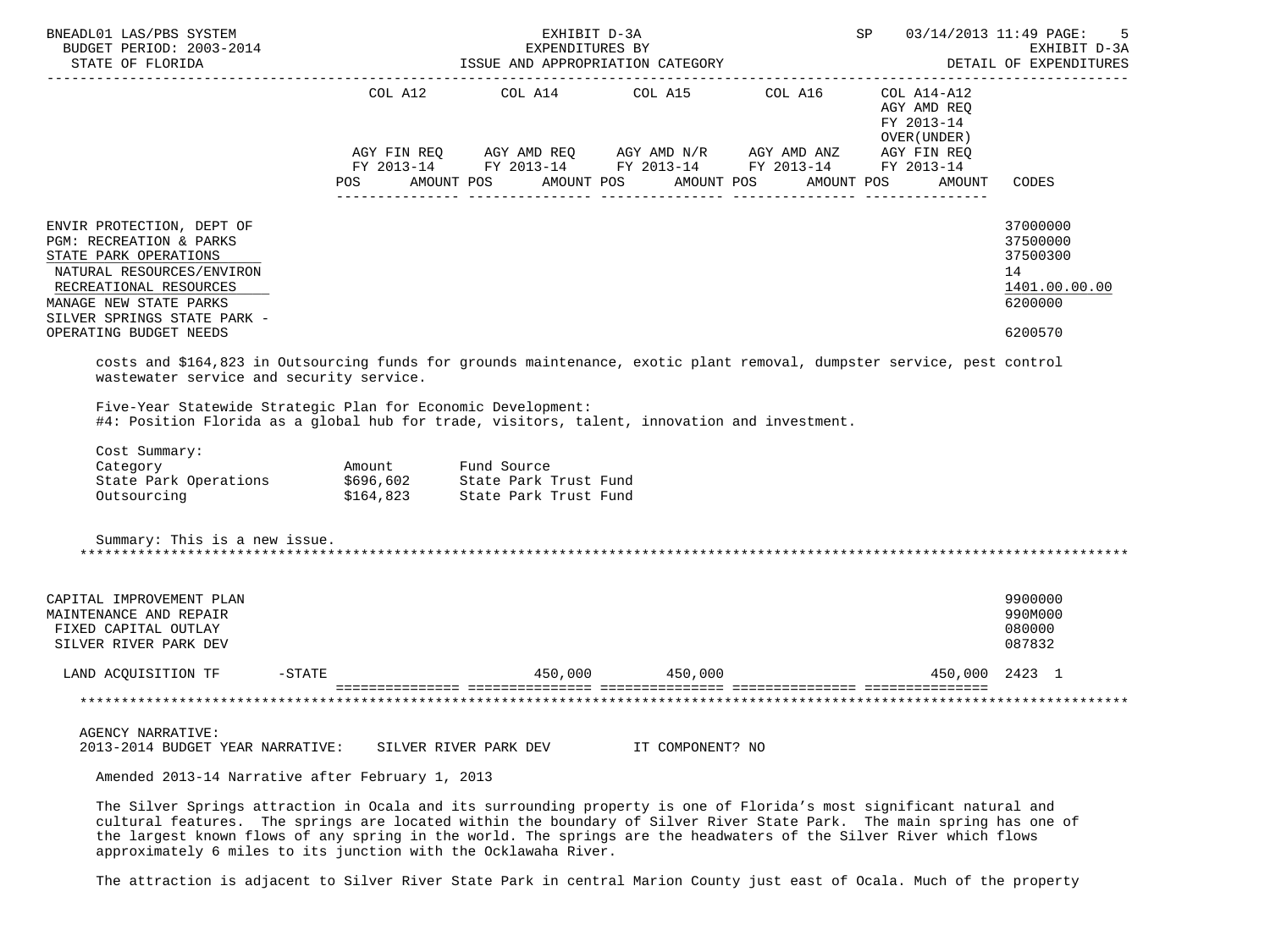| BNEADL01 LAS/PBS SYSTEM<br>BUDGET PERIOD: 2003-2014<br>STATE OF FLORIDA                                                                                                                                                                                                                                                                           |                    | EXHIBIT D-3A<br>EXPENDITURES BY<br>ISSUE AND APPROPRIATION CATEGORY        | <b>SP</b>        | 03/14/2013 11:49 PAGE:<br>-5<br>EXHIBIT D-3A<br>DETAIL OF EXPENDITURES |                                                                     |                                                                               |
|---------------------------------------------------------------------------------------------------------------------------------------------------------------------------------------------------------------------------------------------------------------------------------------------------------------------------------------------------|--------------------|----------------------------------------------------------------------------|------------------|------------------------------------------------------------------------|---------------------------------------------------------------------|-------------------------------------------------------------------------------|
|                                                                                                                                                                                                                                                                                                                                                   | COL A12            | COL A14 COL A15 COL A16<br>POS AMOUNT POS AMOUNT POS AMOUNT POS AMOUNT POS |                  |                                                                        | COL A14-A12<br>AGY AMD REO<br>FY 2013-14<br>OVER (UNDER )<br>AMOUNT | CODES                                                                         |
| ENVIR PROTECTION, DEPT OF<br>PGM: RECREATION & PARKS<br>STATE PARK OPERATIONS<br>NATURAL RESOURCES/ENVIRON<br>RECREATIONAL RESOURCES<br>MANAGE NEW STATE PARKS<br>SILVER SPRINGS STATE PARK -<br>OPERATING BUDGET NEEDS<br>costs and \$164,823 in Outsourcing funds for grounds maintenance, exotic plant removal, dumpster service, pest control |                    |                                                                            |                  |                                                                        |                                                                     | 37000000<br>37500000<br>37500300<br>14<br>1401.00.00.00<br>6200000<br>6200570 |
| wastewater service and security service.<br>Five-Year Statewide Strategic Plan for Economic Development:<br>#4: Position Florida as a global hub for trade, visitors, talent, innovation and investment.<br>Cost Summary:<br>Category<br>State Park Operations \$696,602 State Park Trust Fund<br>Outsourcing<br>Summary: This is a new issue.    | Amount Fund Source | \$164,823 State Park Trust Fund                                            |                  |                                                                        |                                                                     |                                                                               |
| CAPITAL IMPROVEMENT PLAN<br>MAINTENANCE AND REPAIR<br>FIXED CAPITAL OUTLAY<br>SILVER RIVER PARK DEV                                                                                                                                                                                                                                               |                    |                                                                            |                  |                                                                        |                                                                     | 9900000<br>990M000<br>080000<br>087832                                        |
| $-STATE$<br>LAND ACQUISITION TF                                                                                                                                                                                                                                                                                                                   |                    |                                                                            | 450,000 450,000  |                                                                        |                                                                     | 450,000 2423 1                                                                |
|                                                                                                                                                                                                                                                                                                                                                   |                    |                                                                            |                  |                                                                        |                                                                     |                                                                               |
| <b>AGENCY NARRATIVE:</b><br>2013-2014 BUDGET YEAR NARRATIVE: SILVER RIVER PARK DEV                                                                                                                                                                                                                                                                |                    |                                                                            | IT COMPONENT? NO |                                                                        |                                                                     |                                                                               |
| Amended 2013-14 Narrative after February 1, 2013                                                                                                                                                                                                                                                                                                  |                    |                                                                            |                  |                                                                        |                                                                     |                                                                               |

 The Silver Springs attraction in Ocala and its surrounding property is one of Florida's most significant natural and cultural features. The springs are located within the boundary of Silver River State Park. The main spring has one of the largest known flows of any spring in the world. The springs are the headwaters of the Silver River which flows approximately 6 miles to its junction with the Ocklawaha River.

The attraction is adjacent to Silver River State Park in central Marion County just east of Ocala. Much of the property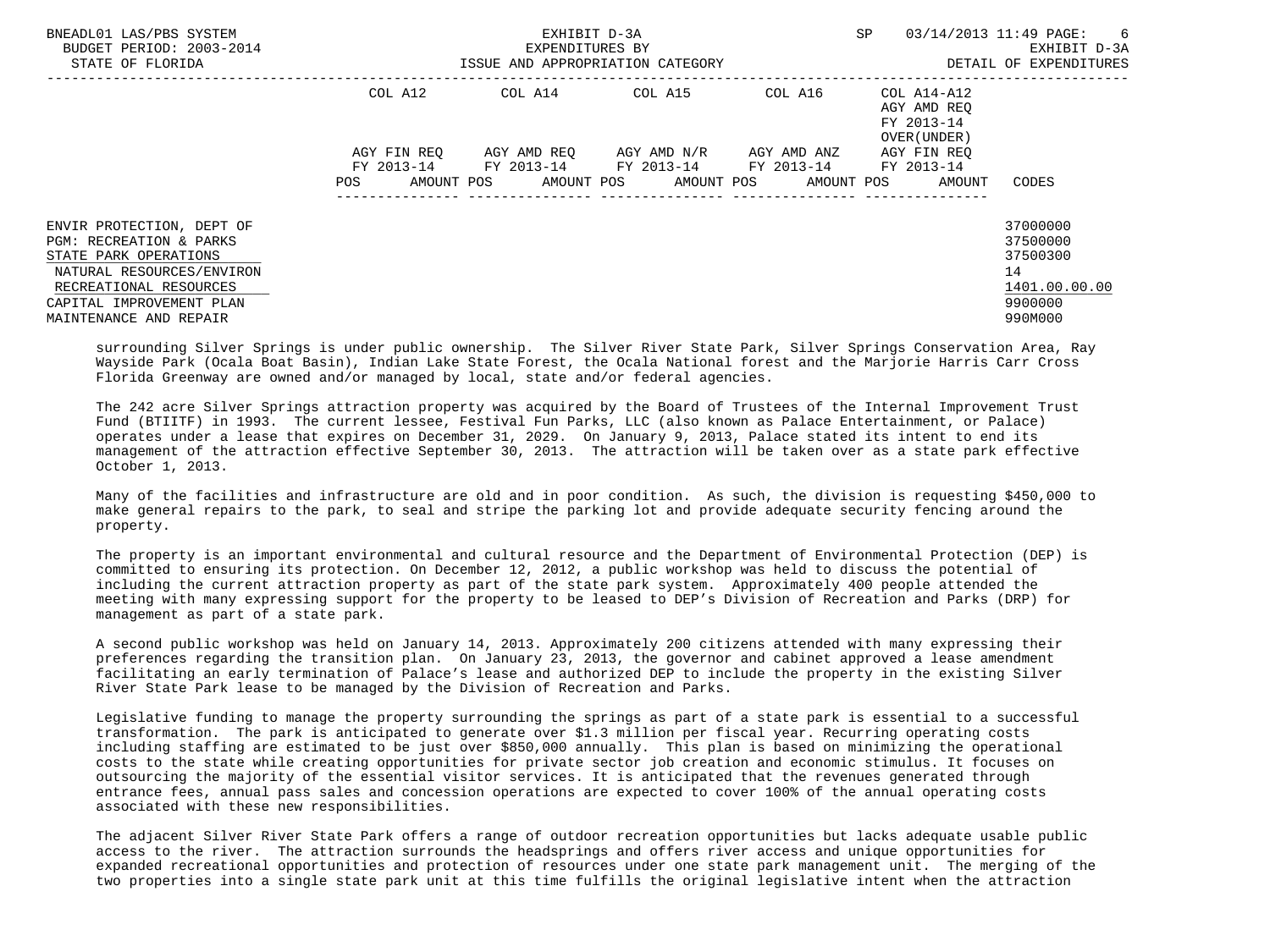| BNEADL01 LAS/PBS SYSTEM<br>BUDGET PERIOD: 2003-2014<br>STATE OF FLORIDA                                                                                                                    | ISSUE AND APPROPRIATION CATEGORY | <b>SP</b><br>03/14/2013 11:49 PAGE: | EXHIBIT D-3A<br>DETAIL OF EXPENDITURES |                                      |                                           |                                                                               |
|--------------------------------------------------------------------------------------------------------------------------------------------------------------------------------------------|----------------------------------|-------------------------------------|----------------------------------------|--------------------------------------|-------------------------------------------|-------------------------------------------------------------------------------|
|                                                                                                                                                                                            | COL A12                          | COL A14                             | $COL A15$ $COL A16$ $COL A14-A12$      |                                      | AGY AMD REO<br>FY 2013-14<br>OVER (UNDER) |                                                                               |
|                                                                                                                                                                                            | AGY FIN REO                      | FY 2013-14 FY 2013-14 FY 2013-14    | AGY AMD REO AGY AMD N/R                | AGY AMD ANZ<br>FY 2013-14 FY 2013-14 | AGY FIN REO                               |                                                                               |
|                                                                                                                                                                                            | AMOUNT POS<br>POS                |                                     | AMOUNT POS AMOUNT POS AMOUNT POS       |                                      | AMOUNT                                    | CODES                                                                         |
| ENVIR PROTECTION, DEPT OF<br>PGM: RECREATION & PARKS<br>STATE PARK OPERATIONS<br>NATURAL RESOURCES/ENVIRON<br>RECREATIONAL RESOURCES<br>CAPITAL IMPROVEMENT PLAN<br>MAINTENANCE AND REPAIR |                                  |                                     |                                        |                                      |                                           | 37000000<br>37500000<br>37500300<br>14<br>1401.00.00.00<br>9900000<br>990M000 |

 surrounding Silver Springs is under public ownership. The Silver River State Park, Silver Springs Conservation Area, Ray Wayside Park (Ocala Boat Basin), Indian Lake State Forest, the Ocala National forest and the Marjorie Harris Carr Cross Florida Greenway are owned and/or managed by local, state and/or federal agencies.

 The 242 acre Silver Springs attraction property was acquired by the Board of Trustees of the Internal Improvement Trust Fund (BTIITF) in 1993. The current lessee, Festival Fun Parks, LLC (also known as Palace Entertainment, or Palace) operates under a lease that expires on December 31, 2029. On January 9, 2013, Palace stated its intent to end its management of the attraction effective September 30, 2013. The attraction will be taken over as a state park effective October 1, 2013.

 Many of the facilities and infrastructure are old and in poor condition. As such, the division is requesting \$450,000 to make general repairs to the park, to seal and stripe the parking lot and provide adequate security fencing around the property.

 The property is an important environmental and cultural resource and the Department of Environmental Protection (DEP) is committed to ensuring its protection. On December 12, 2012, a public workshop was held to discuss the potential of including the current attraction property as part of the state park system. Approximately 400 people attended the meeting with many expressing support for the property to be leased to DEP's Division of Recreation and Parks (DRP) for management as part of a state park.

 A second public workshop was held on January 14, 2013. Approximately 200 citizens attended with many expressing their preferences regarding the transition plan. On January 23, 2013, the governor and cabinet approved a lease amendment facilitating an early termination of Palace's lease and authorized DEP to include the property in the existing Silver River State Park lease to be managed by the Division of Recreation and Parks.

 Legislative funding to manage the property surrounding the springs as part of a state park is essential to a successful transformation. The park is anticipated to generate over \$1.3 million per fiscal year. Recurring operating costs including staffing are estimated to be just over \$850,000 annually. This plan is based on minimizing the operational costs to the state while creating opportunities for private sector job creation and economic stimulus. It focuses on outsourcing the majority of the essential visitor services. It is anticipated that the revenues generated through entrance fees, annual pass sales and concession operations are expected to cover 100% of the annual operating costs associated with these new responsibilities.

 The adjacent Silver River State Park offers a range of outdoor recreation opportunities but lacks adequate usable public access to the river. The attraction surrounds the headsprings and offers river access and unique opportunities for expanded recreational opportunities and protection of resources under one state park management unit. The merging of the two properties into a single state park unit at this time fulfills the original legislative intent when the attraction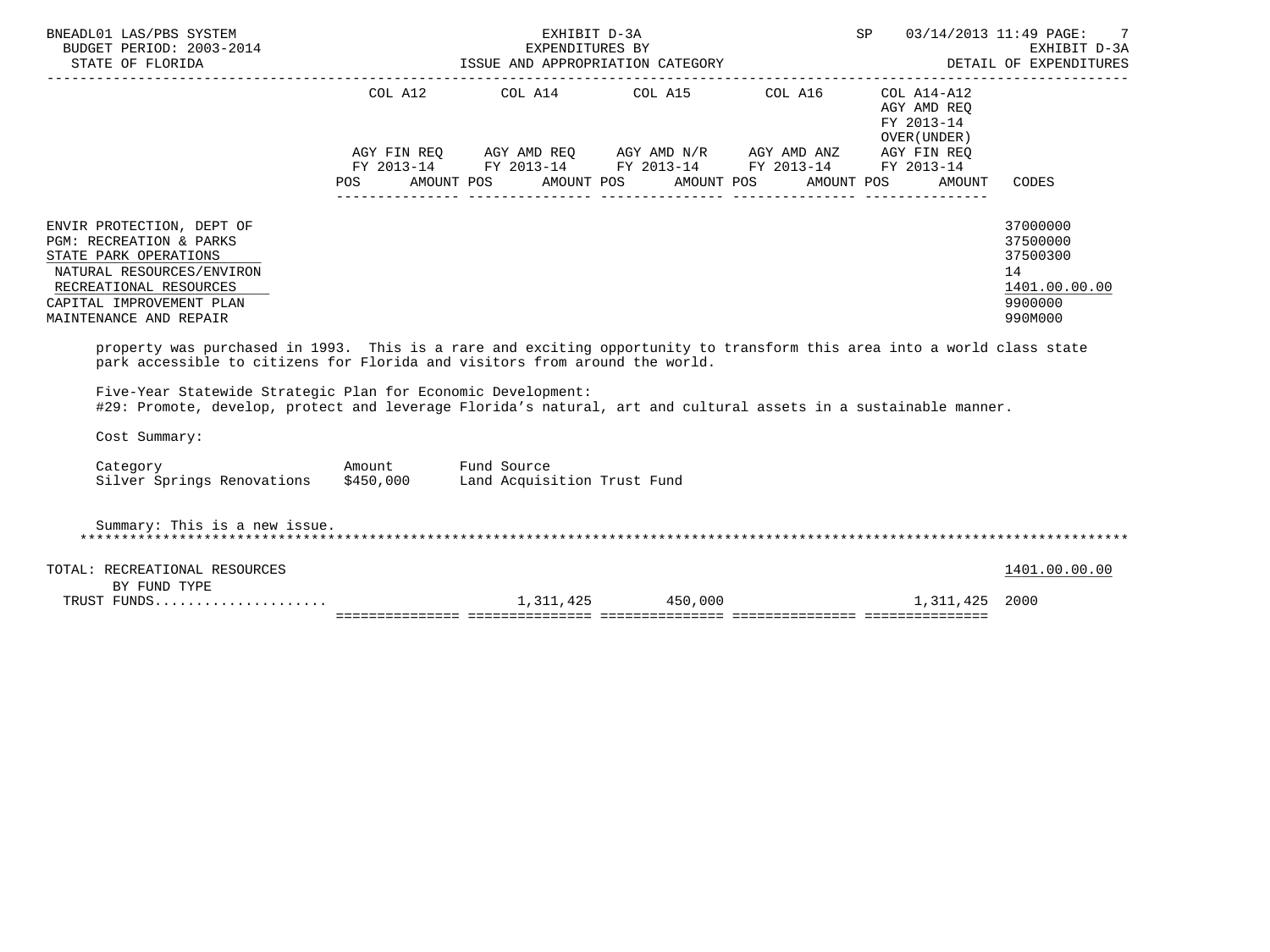| NEADL01 LAS/PBS SYSTEM ${\small \begin{array}{cccccccccccccc} \texttt{EXHIBIT} & \texttt{D-3A} & & & & & \texttt{SP} & 03/14/2013 & 11:49 \text{ PAGE}: & 7 \\ \texttt{BUDGET PERIOD: } & 2003-2014 & & & & & & & \texttt{EXHIBIT} & \texttt{D-3A} & & & & & & \texttt{EXHIBIT} & \texttt{D-3A} & & & & & \texttt{EXHIBIT} & \texttt{D-3A} & & & & & \texttt{DETAIL} & \texttt{D-3A} & & & & & \$<br>BNEADL01 LAS/PBS SYSTEM |  |                                                                                                                                                                      |  |                                                                                                            |                                                                               |
|------------------------------------------------------------------------------------------------------------------------------------------------------------------------------------------------------------------------------------------------------------------------------------------------------------------------------------------------------------------------------------------------------------------------------|--|----------------------------------------------------------------------------------------------------------------------------------------------------------------------|--|------------------------------------------------------------------------------------------------------------|-------------------------------------------------------------------------------|
|                                                                                                                                                                                                                                                                                                                                                                                                                              |  | COL A12 COL A14 COL A15 COL A16 COL A14-A12<br>AGY FIN REQ AGY AMD REQ AGY AMD N/R AGY AMD ANZ AGY FIN REQ<br>FY 2013-14 FY 2013-14 FY 2013-14 FY 2013-14 FY 2013-14 |  | AGY AMD REQ<br>FY 2013-14<br>OVER (UNDER )<br>POS AMOUNT POS AMOUNT POS AMOUNT POS AMOUNT POS AMOUNT CODES |                                                                               |
| ENVIR PROTECTION, DEPT OF<br>PGM: RECREATION & PARKS<br>STATE PARK OPERATIONS<br>NATURAL RESOURCES/ENVIRON<br>RECREATIONAL RESOURCES<br>CAPITAL IMPROVEMENT PLAN<br>MAINTENANCE AND REPAIR<br>property was purchased in 1993. This is a rare and exciting opportunity to transform this area into a world class state<br>park accessible to citizens for Florida and visitors from around the world.                         |  |                                                                                                                                                                      |  |                                                                                                            | 37000000<br>37500000<br>37500300<br>14<br>1401.00.00.00<br>9900000<br>990M000 |
| Five-Year Statewide Strategic Plan for Economic Development:<br>#29: Promote, develop, protect and leverage Florida's natural, art and cultural assets in a sustainable manner.<br>Cost Summary:                                                                                                                                                                                                                             |  |                                                                                                                                                                      |  |                                                                                                            |                                                                               |
| Category Moount Fund Source<br>Silver Springs Renovations \$450,000 Land Acquisition Trust Fund                                                                                                                                                                                                                                                                                                                              |  |                                                                                                                                                                      |  |                                                                                                            |                                                                               |
| Summary: This is a new issue.                                                                                                                                                                                                                                                                                                                                                                                                |  |                                                                                                                                                                      |  |                                                                                                            |                                                                               |
| TOTAL: RECREATIONAL RESOURCES<br>BY FUND TYPE                                                                                                                                                                                                                                                                                                                                                                                |  |                                                                                                                                                                      |  |                                                                                                            | 1401.00.00.00                                                                 |
| TRUST FUNDS                                                                                                                                                                                                                                                                                                                                                                                                                  |  |                                                                                                                                                                      |  | 1,311,425 450,000 1,311,425                                                                                | 2000                                                                          |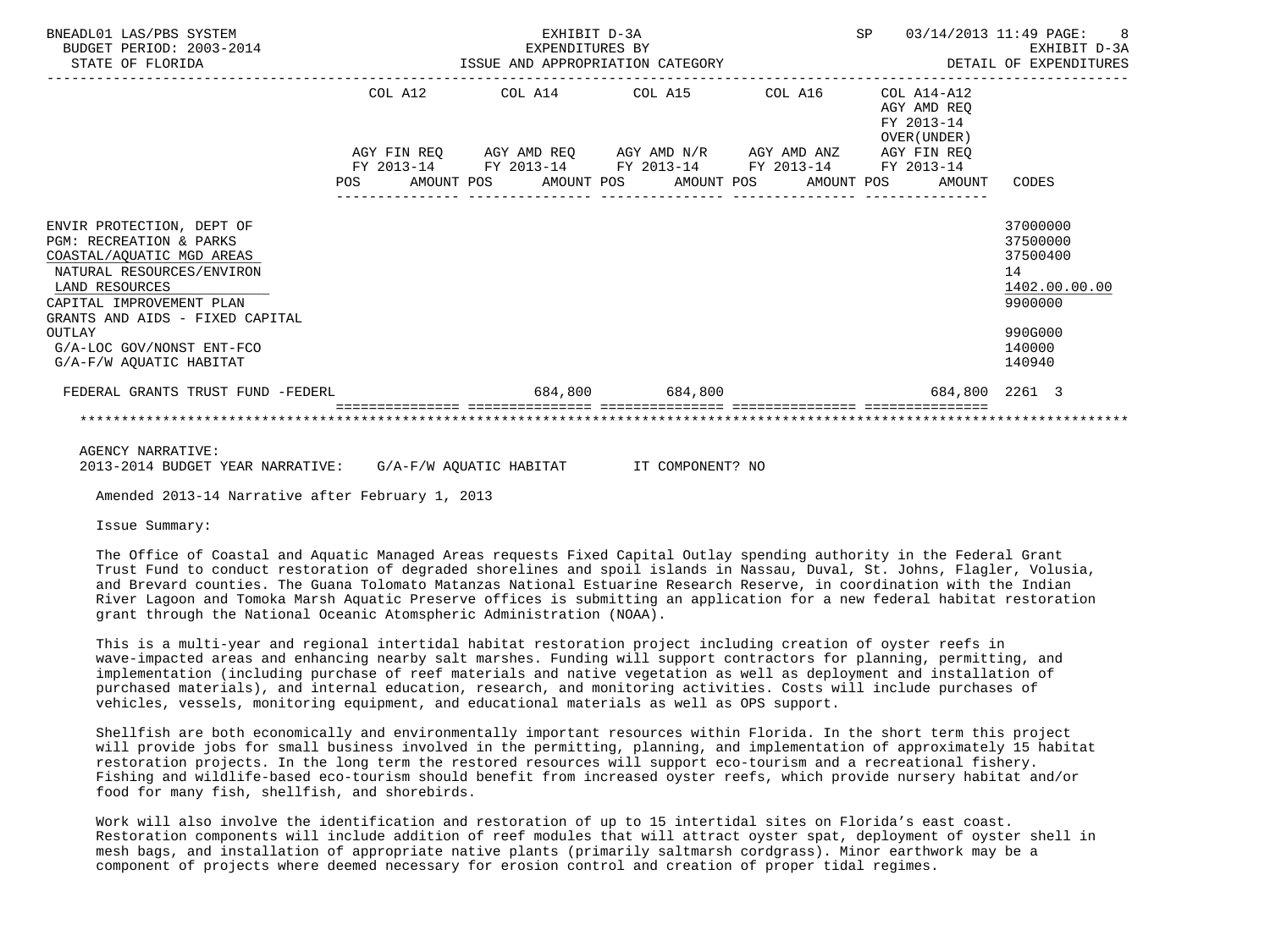| BNEADL01 LAS/PBS SYSTEM<br>BUDGET PERIOD: 2003-2014<br>STATE OF FLORIDA                                                                                                                                                                                           | EXHIBIT D-3A<br>5-2014 EXPENDITURES BY<br>ISSUE AND APPROPRIATION CATEGORY |            |  |                                                                                 |  |                 |  | SP         | 03/14/2013 11:49 PAGE: | 8<br>EXHIBIT D-3A<br>DETAIL OF EXPENDITURES                                                                             |                                                                                                   |
|-------------------------------------------------------------------------------------------------------------------------------------------------------------------------------------------------------------------------------------------------------------------|----------------------------------------------------------------------------|------------|--|---------------------------------------------------------------------------------|--|-----------------|--|------------|------------------------|-------------------------------------------------------------------------------------------------------------------------|---------------------------------------------------------------------------------------------------|
|                                                                                                                                                                                                                                                                   |                                                                            | COL A12    |  | COL A14 COL A15                                                                 |  |                 |  | COL A16    |                        | COL A14-A12<br>AGY AMD REO<br>FY 2013-14<br>OVER (UNDER)<br>AGY FIN REQ AGY AMD REQ AGY AMD N/R AGY AMD ANZ AGY FIN REQ |                                                                                                   |
|                                                                                                                                                                                                                                                                   | <b>POS</b>                                                                 | FY 2013-14 |  | FY 2013-14 FY 2013-14 FY 2013-14 FY 2013-14<br>AMOUNT POS AMOUNT POS AMOUNT POS |  |                 |  | AMOUNT POS |                        | AMOUNT                                                                                                                  | CODES                                                                                             |
| ENVIR PROTECTION, DEPT OF<br>PGM: RECREATION & PARKS<br>COASTAL/AQUATIC MGD AREAS<br>NATURAL RESOURCES/ENVIRON<br>LAND RESOURCES<br>CAPITAL IMPROVEMENT PLAN<br>GRANTS AND AIDS - FIXED CAPITAL<br>OUTLAY<br>G/A-LOC GOV/NONST ENT-FCO<br>G/A-F/W AOUATIC HABITAT |                                                                            |            |  |                                                                                 |  |                 |  |            |                        |                                                                                                                         | 37000000<br>37500000<br>37500400<br>14<br>1402.00.00.00<br>9900000<br>990G000<br>140000<br>140940 |
| FEDERAL GRANTS TRUST FUND -FEDERL                                                                                                                                                                                                                                 |                                                                            |            |  |                                                                                 |  | 684,800 684,800 |  |            |                        | 684,800 2261 3                                                                                                          |                                                                                                   |
|                                                                                                                                                                                                                                                                   |                                                                            |            |  |                                                                                 |  |                 |  |            |                        |                                                                                                                         |                                                                                                   |

AGENCY NARRATIVE:

2013-2014 BUDGET YEAR NARRATIVE: G/A-F/W AQUATIC HABITAT IT COMPONENT? NO

Amended 2013-14 Narrative after February 1, 2013

Issue Summary:

 The Office of Coastal and Aquatic Managed Areas requests Fixed Capital Outlay spending authority in the Federal Grant Trust Fund to conduct restoration of degraded shorelines and spoil islands in Nassau, Duval, St. Johns, Flagler, Volusia, and Brevard counties. The Guana Tolomato Matanzas National Estuarine Research Reserve, in coordination with the Indian River Lagoon and Tomoka Marsh Aquatic Preserve offices is submitting an application for a new federal habitat restoration grant through the National Oceanic Atomspheric Administration (NOAA).

 This is a multi-year and regional intertidal habitat restoration project including creation of oyster reefs in wave-impacted areas and enhancing nearby salt marshes. Funding will support contractors for planning, permitting, and implementation (including purchase of reef materials and native vegetation as well as deployment and installation of purchased materials), and internal education, research, and monitoring activities. Costs will include purchases of vehicles, vessels, monitoring equipment, and educational materials as well as OPS support.

 Shellfish are both economically and environmentally important resources within Florida. In the short term this project will provide jobs for small business involved in the permitting, planning, and implementation of approximately 15 habitat restoration projects. In the long term the restored resources will support eco-tourism and a recreational fishery. Fishing and wildlife-based eco-tourism should benefit from increased oyster reefs, which provide nursery habitat and/or food for many fish, shellfish, and shorebirds.

 Work will also involve the identification and restoration of up to 15 intertidal sites on Florida's east coast. Restoration components will include addition of reef modules that will attract oyster spat, deployment of oyster shell in mesh bags, and installation of appropriate native plants (primarily saltmarsh cordgrass). Minor earthwork may be a component of projects where deemed necessary for erosion control and creation of proper tidal regimes.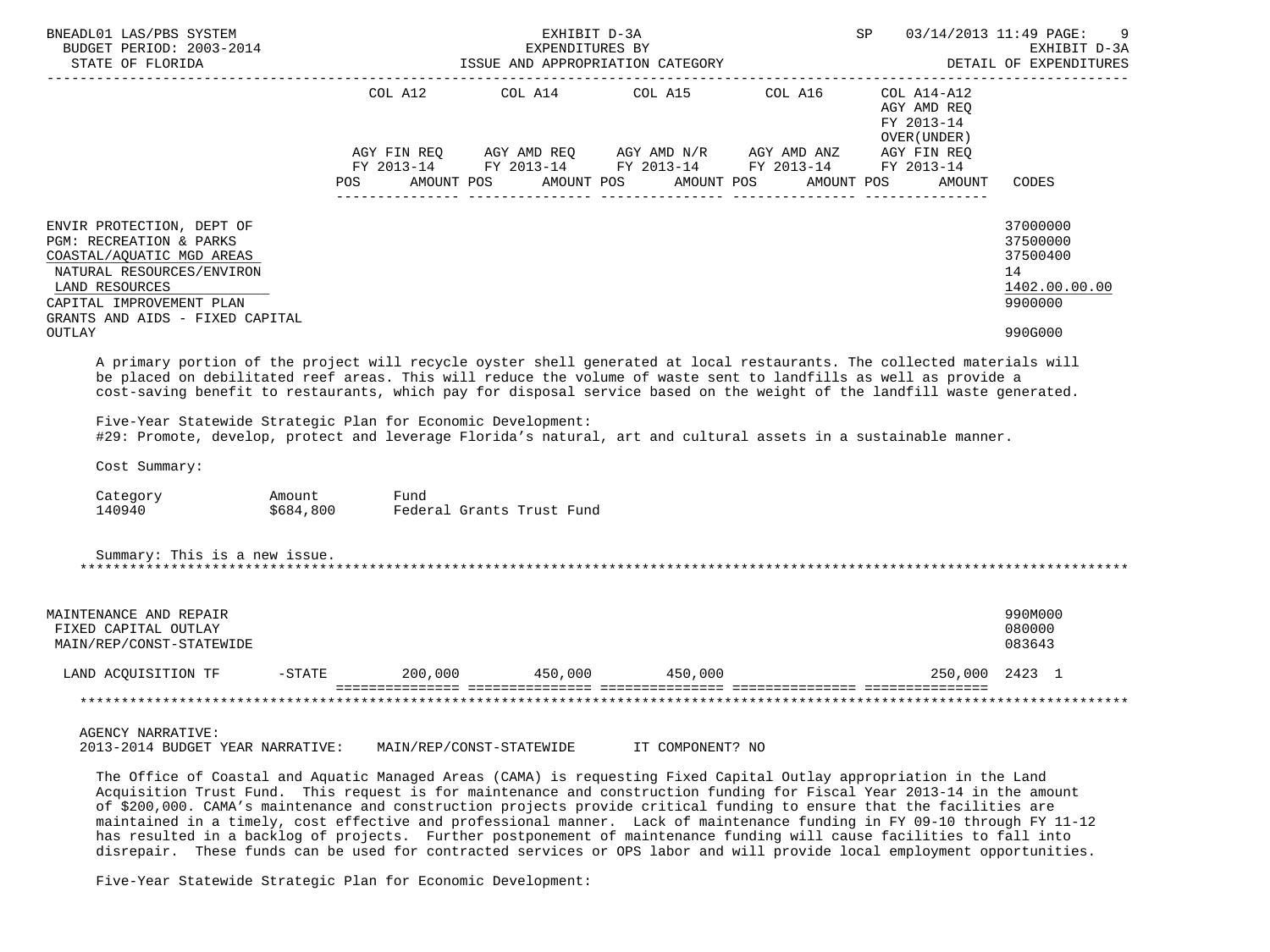| BNEADL01 LAS/PBS SYSTEM<br>BUDGET PERIOD: 2003-2014<br>STATE OF FLORIDA                                                                                                                          |                     |             |                           | EXHIBIT D-3A<br>EXPENDITURES BY<br>ISSUE AND APPROPRIATION CATEGORY                                                                          | <b>SP</b> SP | 03/14/2013 11:49 PAGE:                                   | DETAIL OF EXPENDITURES                                             | 9<br>EXHIBIT D-3A |
|--------------------------------------------------------------------------------------------------------------------------------------------------------------------------------------------------|---------------------|-------------|---------------------------|----------------------------------------------------------------------------------------------------------------------------------------------|--------------|----------------------------------------------------------|--------------------------------------------------------------------|-------------------|
|                                                                                                                                                                                                  |                     |             |                           |                                                                                                                                              |              |                                                          | _______________                                                    |                   |
|                                                                                                                                                                                                  |                     | AGY FIN REQ |                           | COL A12 COL A14 COL A15 COL A16<br>AGY AMD REQ AGY AMD N/R AGY AMD ANZ AGY FIN REQ<br>FY 2013-14 FY 2013-14 FY 2013-14 FY 2013-14 FY 2013-14 |              | COL A14-A12<br>AGY AMD REO<br>FY 2013-14<br>OVER (UNDER) |                                                                    |                   |
|                                                                                                                                                                                                  | POS                 |             |                           | AMOUNT POS AMOUNT POS AMOUNT POS AMOUNT POS                                                                                                  |              | AMOUNT                                                   | CODES                                                              |                   |
| ENVIR PROTECTION, DEPT OF<br>PGM: RECREATION & PARKS<br>COASTAL/AQUATIC MGD AREAS<br>NATURAL RESOURCES/ENVIRON<br>LAND RESOURCES<br>CAPITAL IMPROVEMENT PLAN<br>GRANTS AND AIDS - FIXED CAPITAL  |                     |             |                           |                                                                                                                                              |              |                                                          | 37000000<br>37500000<br>37500400<br>14<br>1402.00.00.00<br>9900000 |                   |
| OUTLAY                                                                                                                                                                                           |                     |             |                           |                                                                                                                                              |              |                                                          | 990G000                                                            |                   |
| Five-Year Statewide Strategic Plan for Economic Development:<br>#29: Promote, develop, protect and leverage Florida's natural, art and cultural assets in a sustainable manner.<br>Cost Summary: |                     |             |                           |                                                                                                                                              |              |                                                          |                                                                    |                   |
| Category<br>140940                                                                                                                                                                               | Amount<br>\$684,800 | Fund        | Federal Grants Trust Fund |                                                                                                                                              |              |                                                          |                                                                    |                   |
| Summary: This is a new issue.                                                                                                                                                                    |                     |             |                           |                                                                                                                                              |              |                                                          |                                                                    |                   |
| MAINTENANCE AND REPAIR<br>FIXED CAPITAL OUTLAY<br>MAIN/REP/CONST-STATEWIDE                                                                                                                       |                     |             |                           |                                                                                                                                              |              |                                                          | 990M000<br>080000<br>083643                                        |                   |
| LAND ACQUISITION TF                                                                                                                                                                              | $-STATE$            |             |                           | 200,000 450,000 450,000                                                                                                                      |              |                                                          | 250,000 2423 1                                                     |                   |
|                                                                                                                                                                                                  |                     |             |                           |                                                                                                                                              |              |                                                          |                                                                    |                   |
| <b>AGENCY NARRATIVE:</b><br>2013-2014 BUDGET YEAR NARRATIVE:                                                                                                                                     |                     |             | MAIN/REP/CONST-STATEWIDE  | IT COMPONENT? NO                                                                                                                             |              |                                                          |                                                                    |                   |

 The Office of Coastal and Aquatic Managed Areas (CAMA) is requesting Fixed Capital Outlay appropriation in the Land Acquisition Trust Fund. This request is for maintenance and construction funding for Fiscal Year 2013-14 in the amount of \$200,000. CAMA's maintenance and construction projects provide critical funding to ensure that the facilities are maintained in a timely, cost effective and professional manner. Lack of maintenance funding in FY 09-10 through FY 11-12 has resulted in a backlog of projects. Further postponement of maintenance funding will cause facilities to fall into disrepair. These funds can be used for contracted services or OPS labor and will provide local employment opportunities.

Five-Year Statewide Strategic Plan for Economic Development: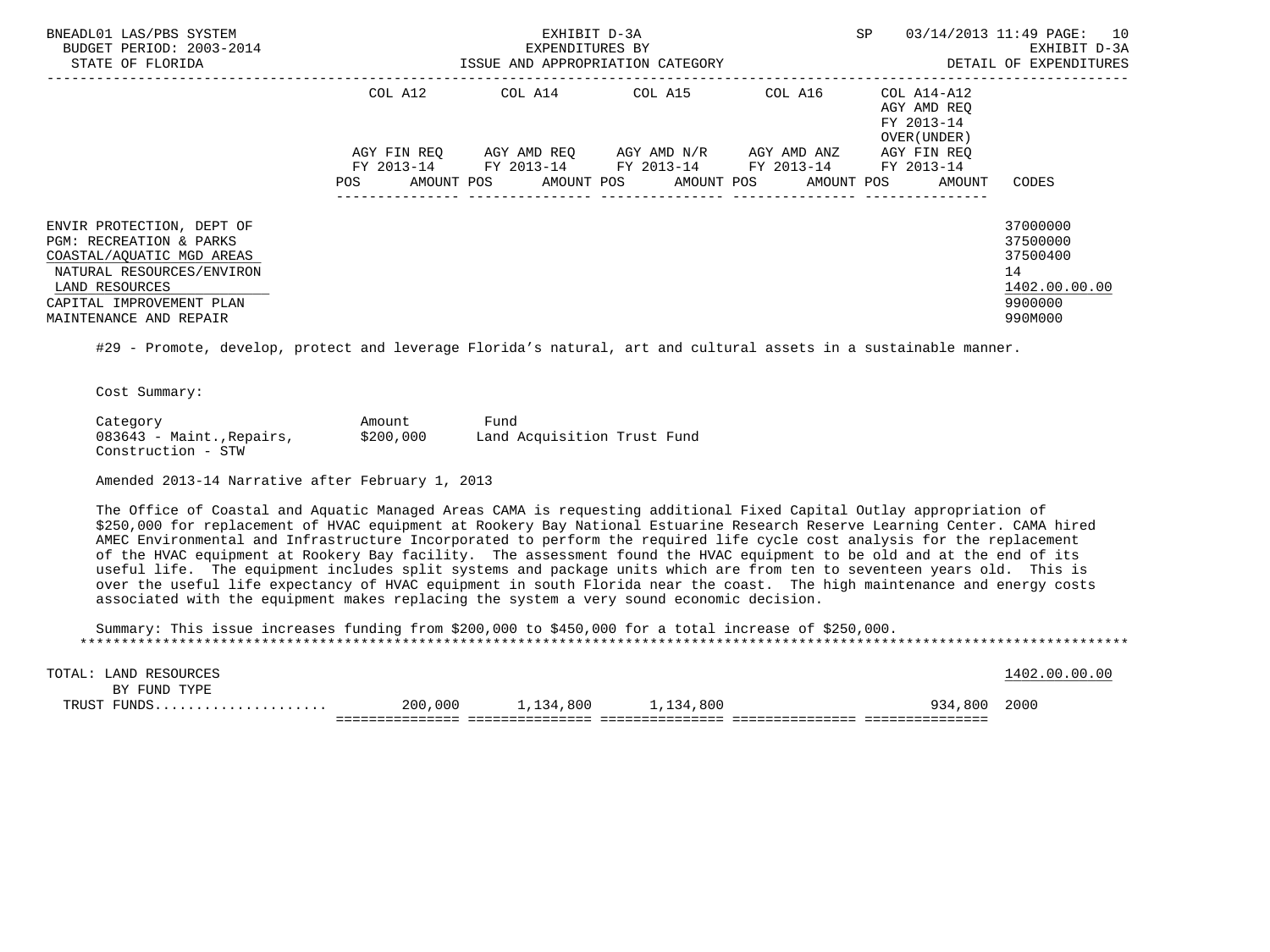| BNEADL01 LAS/PBS SYSTEM<br>BUDGET PERIOD: 2003-2014<br>STATE OF FLORIDA                                                                                                                |             | EXHIBIT D-3A<br>EXPENDITURES BY<br>ISSUE AND APPROPRIATION CATEGORY | SP                                                                                                    | 03/14/2013 11:49 PAGE: 10<br>EXHIBIT D-3A<br>DETAIL OF EXPENDITURES |                                                                  |                                                                               |
|----------------------------------------------------------------------------------------------------------------------------------------------------------------------------------------|-------------|---------------------------------------------------------------------|-------------------------------------------------------------------------------------------------------|---------------------------------------------------------------------|------------------------------------------------------------------|-------------------------------------------------------------------------------|
|                                                                                                                                                                                        | COL A12     |                                                                     | COL A14 COL A15                                                                                       |                                                                     | COL A16 COL A14-A12<br>AGY AMD REO<br>FY 2013-14<br>OVER (UNDER) |                                                                               |
|                                                                                                                                                                                        | AGY FIN REO |                                                                     | AGY AMD REO     AGY AMD N/R     AGY AMD ANZ                                                           |                                                                     | AGY FIN REO                                                      |                                                                               |
|                                                                                                                                                                                        | POS         |                                                                     | FY 2013-14 FY 2013-14 FY 2013-14 FY 2013-14 FY 2013-14<br>AMOUNT POS AMOUNT POS AMOUNT POS AMOUNT POS |                                                                     | AMOUNT                                                           | CODES                                                                         |
| ENVIR PROTECTION, DEPT OF<br>PGM: RECREATION & PARKS<br>COASTAL/AQUATIC MGD AREAS<br>NATURAL RESOURCES/ENVIRON<br>LAND RESOURCES<br>CAPITAL IMPROVEMENT PLAN<br>MAINTENANCE AND REPAIR |             |                                                                     |                                                                                                       |                                                                     |                                                                  | 37000000<br>37500000<br>37500400<br>14<br>1402.00.00.00<br>9900000<br>990M000 |

#29 - Promote, develop, protect and leverage Florida's natural, art and cultural assets in a sustainable manner.

Cost Summary:

Category **Amount** Fund 083643 - Maint., Repairs, \$200,000 Land Acquisition Trust Fund Construction - STW

Amended 2013-14 Narrative after February 1, 2013

 The Office of Coastal and Aquatic Managed Areas CAMA is requesting additional Fixed Capital Outlay appropriation of \$250,000 for replacement of HVAC equipment at Rookery Bay National Estuarine Research Reserve Learning Center. CAMA hired AMEC Environmental and Infrastructure Incorporated to perform the required life cycle cost analysis for the replacement of the HVAC equipment at Rookery Bay facility. The assessment found the HVAC equipment to be old and at the end of its useful life. The equipment includes split systems and package units which are from ten to seventeen years old. This is over the useful life expectancy of HVAC equipment in south Florida near the coast. The high maintenance and energy costs associated with the equipment makes replacing the system a very sound economic decision.

 Summary: This issue increases funding from \$200,000 to \$450,000 for a total increase of \$250,000. \*\*\*\*\*\*\*\*\*\*\*\*\*\*\*\*\*\*\*\*\*\*\*\*\*\*\*\*\*\*\*\*\*\*\*\*\*\*\*\*\*\*\*\*\*\*\*\*\*\*\*\*\*\*\*\*\*\*\*\*\*\*\*\*\*\*\*\*\*\*\*\*\*\*\*\*\*\*\*\*\*\*\*\*\*\*\*\*\*\*\*\*\*\*\*\*\*\*\*\*\*\*\*\*\*\*\*\*\*\*\*\*\*\*\*\*\*\*\*\*\*\*\*\*\*\*\*

| RESOURCES<br>TOTAL<br>⊔AND ∫ |         |          |           |             | . 00<br>402 NO<br>ററ |
|------------------------------|---------|----------|-----------|-------------|----------------------|
| TYPE<br>FUND<br>ВY           |         |          |           |             |                      |
| דסזזפיז<br>.                 | 200,000 | ,134,800 | 1,134,800 | 934<br>,800 | 2000                 |
|                              |         |          |           |             |                      |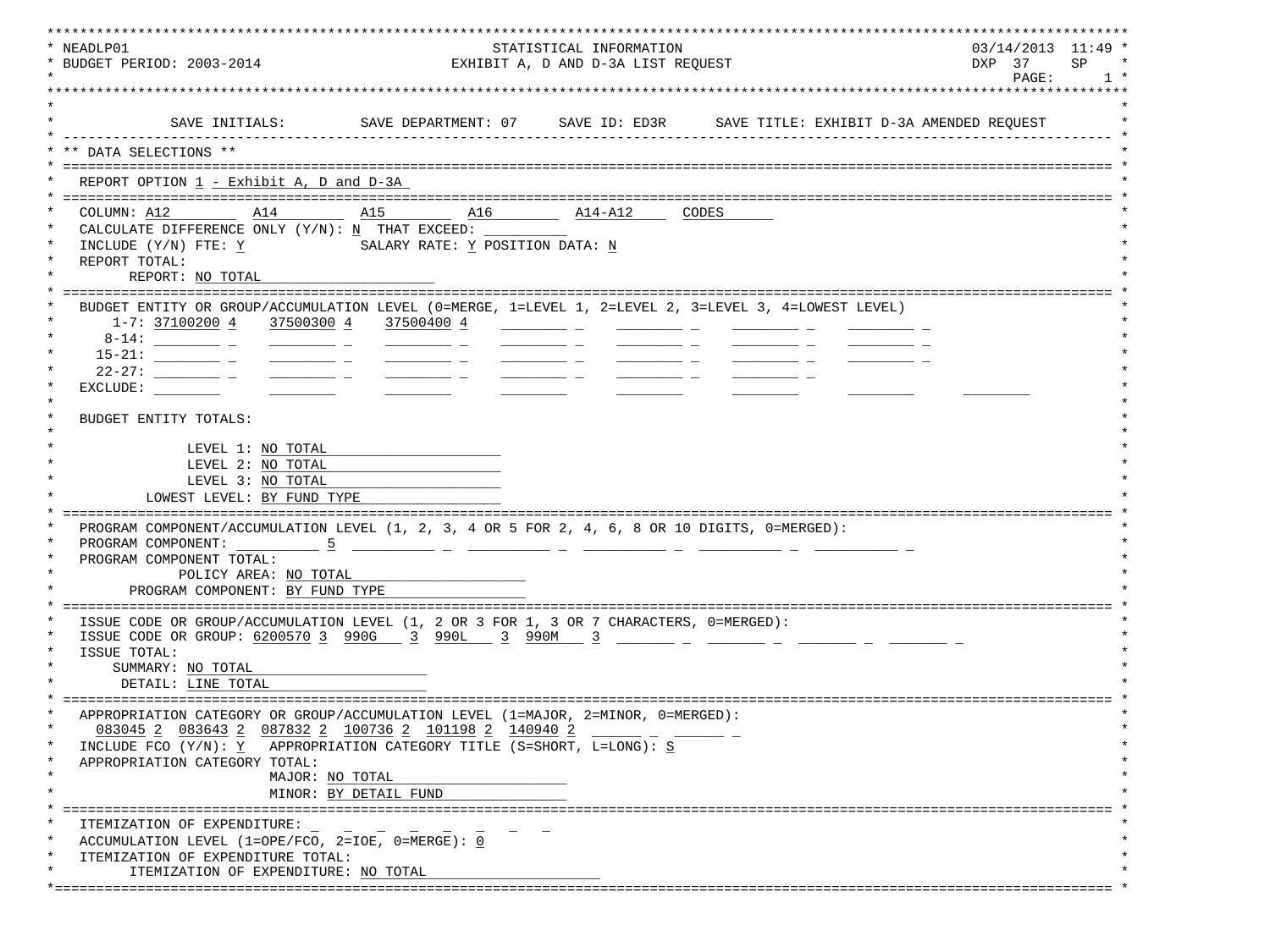| * NEADLP01<br>STATISTICAL INFORMATION                                                                                                                                                                                                                                                                                                                                                                                 | $03/14/2013$ 11:49 * |                    |
|-----------------------------------------------------------------------------------------------------------------------------------------------------------------------------------------------------------------------------------------------------------------------------------------------------------------------------------------------------------------------------------------------------------------------|----------------------|--------------------|
| * BUDGET PERIOD: 2003-2014<br>EXHIBIT A, D AND D-3A LIST REQUEST                                                                                                                                                                                                                                                                                                                                                      | DXP 37               | <b>SP</b><br>$1 *$ |
|                                                                                                                                                                                                                                                                                                                                                                                                                       | PAGE:                |                    |
|                                                                                                                                                                                                                                                                                                                                                                                                                       |                      |                    |
| SAVE INITIALS:<br>SAVE DEPARTMENT: 07 SAVE ID: ED3R SAVE TITLE: EXHIBIT D-3A AMENDED REQUEST                                                                                                                                                                                                                                                                                                                          |                      |                    |
| DATA SELECTIONS **                                                                                                                                                                                                                                                                                                                                                                                                    |                      |                    |
|                                                                                                                                                                                                                                                                                                                                                                                                                       |                      |                    |
| REPORT OPTION 1 - Exhibit A, D and D-3A                                                                                                                                                                                                                                                                                                                                                                               |                      |                    |
| A15<br>COLUMN: A12<br>A14<br>$A16$ $A14-A12$<br>CODES                                                                                                                                                                                                                                                                                                                                                                 |                      |                    |
| CALCULATE DIFFERENCE ONLY $(Y/N): N$ THAT EXCEED:                                                                                                                                                                                                                                                                                                                                                                     |                      |                    |
| INCLUDE (Y/N) FTE: Y<br>SALARY RATE: Y POSITION DATA: N                                                                                                                                                                                                                                                                                                                                                               |                      |                    |
| REPORT TOTAL:                                                                                                                                                                                                                                                                                                                                                                                                         |                      |                    |
| REPORT: NO TOTAL                                                                                                                                                                                                                                                                                                                                                                                                      |                      |                    |
| BUDGET ENTITY OR GROUP/ACCUMULATION LEVEL (0=MERGE, 1=LEVEL 1, 2=LEVEL 2, 3=LEVEL 3, 4=LOWEST LEVEL)                                                                                                                                                                                                                                                                                                                  |                      |                    |
| 1-7: 37100200 4 37500300 4 37500400 4                                                                                                                                                                                                                                                                                                                                                                                 |                      |                    |
|                                                                                                                                                                                                                                                                                                                                                                                                                       |                      |                    |
| $\frac{1}{1-\frac{1}{1-\frac{1}{1-\frac{1}{1-\frac{1}{1-\frac{1}{1-\frac{1}{1-\frac{1}{1-\frac{1}{1-\frac{1}{1-\frac{1}{1-\frac{1}{1-\frac{1}{1-\frac{1}{1-\frac{1}{1-\frac{1}{1-\frac{1}{1-\frac{1}{1-\frac{1}{1-\frac{1}{1-\frac{1}{1-\frac{1}{1-\frac{1}{1-\frac{1}{1-\frac{1}{1-\frac{1}{1-\frac{1}{1-\frac{1}{1-\frac{1}{1-\frac{1}{1-\frac{1}{1-\frac{1}{1-\frac{1}{1-\frac{1}{1-\frac{1}{1-\frac{1}{1-\frac{1$ |                      |                    |
| $\frac{1}{1-\frac{1}{1-\frac{1}{1-\frac{1}{1-\frac{1}{1-\frac{1}{1-\frac{1}{1-\frac{1}{1-\frac{1}{1-\frac{1}{1-\frac{1}{1-\frac{1}{1-\frac{1}{1-\frac{1}{1-\frac{1}{1-\frac{1}{1-\frac{1}{1-\frac{1}{1-\frac{1}{1-\frac{1}{1-\frac{1}{1-\frac{1}{1-\frac{1}{1-\frac{1}{1-\frac{1}{1-\frac{1}{1-\frac{1}{1-\frac{1}{1-\frac{1}{1-\frac{1}{1-\frac{1}{1-\frac{1}{1-\frac{1}{1-\frac{1}{1-\frac{1}{1-\frac{1}{1-\frac{1$ |                      |                    |
| EXCLUDE:                                                                                                                                                                                                                                                                                                                                                                                                              |                      |                    |
| BUDGET ENTITY TOTALS:                                                                                                                                                                                                                                                                                                                                                                                                 |                      |                    |
|                                                                                                                                                                                                                                                                                                                                                                                                                       |                      |                    |
| LEVEL 1: NO TOTAL<br>LEVEL 2: NO TOTAL                                                                                                                                                                                                                                                                                                                                                                                |                      |                    |
| LEVEL 3: NO TOTAL                                                                                                                                                                                                                                                                                                                                                                                                     |                      |                    |
| LOWEST LEVEL: BY FUND TYPE                                                                                                                                                                                                                                                                                                                                                                                            |                      |                    |
|                                                                                                                                                                                                                                                                                                                                                                                                                       |                      |                    |
| PROGRAM COMPONENT/ACCUMULATION LEVEL (1, 2, 3, 4 OR 5 FOR 2, 4, 6, 8 OR 10 DIGITS, 0=MERGED):                                                                                                                                                                                                                                                                                                                         |                      |                    |
| PROGRAM COMPONENT:<br>PROGRAM COMPONENT TOTAL:                                                                                                                                                                                                                                                                                                                                                                        |                      |                    |
| POLICY AREA: NO TOTAL                                                                                                                                                                                                                                                                                                                                                                                                 |                      |                    |
| PROGRAM COMPONENT: BY FUND TYPE                                                                                                                                                                                                                                                                                                                                                                                       |                      |                    |
|                                                                                                                                                                                                                                                                                                                                                                                                                       |                      |                    |
| ISSUE CODE OR GROUP/ACCUMULATION LEVEL (1, 2 OR 3 FOR 1, 3 OR 7 CHARACTERS, 0=MERGED):<br>ISSUE CODE OR GROUP: 6200570 3 990G 3 990L 3 990M 3 ______ _ _ _____ _ _ _____ _ _                                                                                                                                                                                                                                          |                      |                    |
| ISSUE TOTAL:                                                                                                                                                                                                                                                                                                                                                                                                          |                      |                    |
| SUMMARY: NO TOTAL                                                                                                                                                                                                                                                                                                                                                                                                     |                      |                    |
| DETAIL: LINE TOTAL                                                                                                                                                                                                                                                                                                                                                                                                    |                      |                    |
| APPROPRIATION CATEGORY OR GROUP/ACCUMULATION LEVEL (1=MAJOR, 2=MINOR, 0=MERGED)                                                                                                                                                                                                                                                                                                                                       |                      |                    |
| $\star$<br>083045 2 083643 2 087832 2 100736 2 101198 2 140940 2                                                                                                                                                                                                                                                                                                                                                      |                      |                    |
| INCLUDE FCO $(Y/N): Y$ APPROPRIATION CATEGORY TITLE (S=SHORT, L=LONG): S                                                                                                                                                                                                                                                                                                                                              |                      |                    |
| APPROPRIATION CATEGORY TOTAL:                                                                                                                                                                                                                                                                                                                                                                                         |                      |                    |
| MAJOR: NO TOTAL                                                                                                                                                                                                                                                                                                                                                                                                       |                      |                    |
| MINOR: BY DETAIL FUND                                                                                                                                                                                                                                                                                                                                                                                                 |                      |                    |
| $\ast$<br>ITEMIZATION OF EXPENDITURE:                                                                                                                                                                                                                                                                                                                                                                                 |                      |                    |
| ACCUMULATION LEVEL (1=OPE/FCO, 2=IOE, 0=MERGE): 0<br>$\star$                                                                                                                                                                                                                                                                                                                                                          |                      |                    |
| $\star$<br>ITEMIZATION OF EXPENDITURE TOTAL:                                                                                                                                                                                                                                                                                                                                                                          |                      |                    |
| ITEMIZATION OF EXPENDITURE: NO TOTAL                                                                                                                                                                                                                                                                                                                                                                                  |                      |                    |